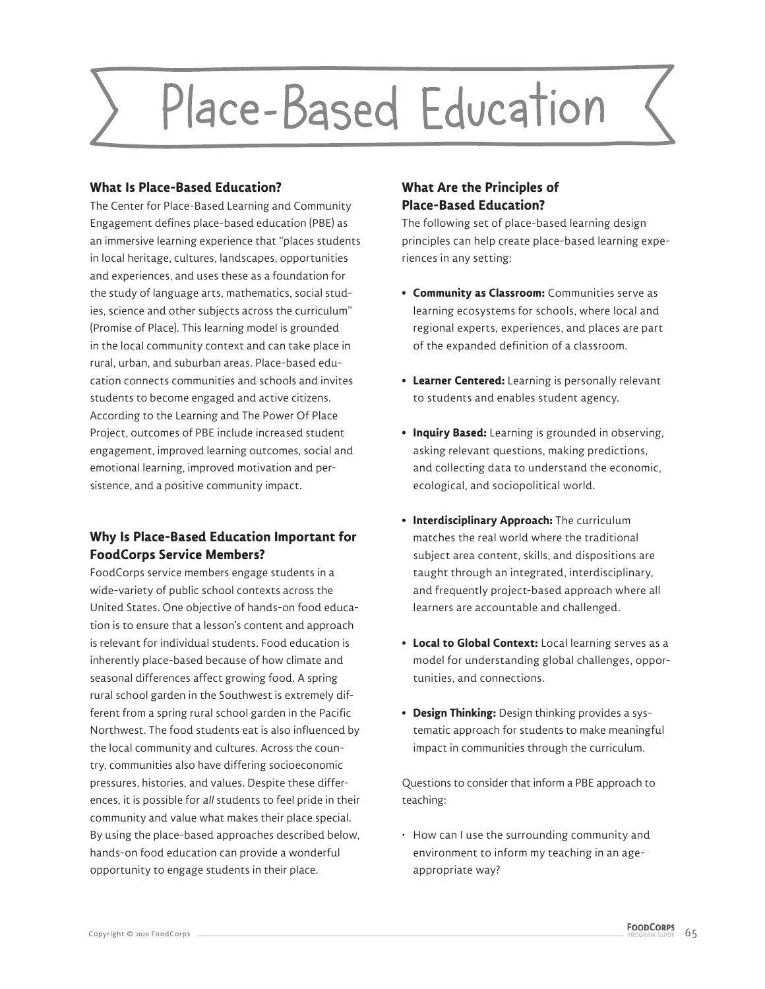# Place-Based Education

### **What Is Place-Based Education?**

The Center for Place-Based Learning and Community Engagement defines place-based education (PBE) as an immersive learning experience that "places students in local heritage, cultures, landscapes, opportunities and experiences, and uses these as a foundation for the study of language arts, mathematics, social studies, science and other subjects across the curriculum" (Promise of Place). This learning model is grounded in the local community context and can take place in rural, urban, and suburban areas. Place-based education connects communities and schools and invites students to become engaged and active citizens. According to the Learning and The Power Of Place Project, outcomes of PBE include increased student engagement, improved learning outcomes, social and emotional learning, improved motivation and persistence, and a positive community impact.

## **Why Is Place-Based Education Important for FoodCorps Service Members?**

FoodCorps service members engage students in a wide-variety of public school contexts across the United States. One objective of hands-on food education is to ensure that a lesson's content and approach is relevant for individual students. Food education is inherently place-based because of how climate and seasonal differences affect growing food. A spring rural school garden in the Southwest is extremely different from a spring rural school garden in the Pacific Northwest. The food students eat is also influenced by the local community and cultures. Across the country, communities also have differing socioeconomic pressures, histories, and values. Despite these differences, it is possible for all students to feel pride in their community and value what makes their place special. By using the place-based approaches described below, hands-on food education can provide a wonderful opportunity to engage students in their place.

# **What Are the Principles of Place-Based Education?**

The following set of place-based learning design principles can help create place-based learning experiences in any setting:

- **Community as Classroom:** Communities serve as learning ecosystems for schools, where local and regional experts, experiences, and places are part of the expanded definition of a classroom.
- **Learner Centered:** Learning is personally relevant to students and enables student agency.
- **Inquiry Based:** Learning is grounded in observing, asking relevant questions, making predictions, and collecting data to understand the economic, ecological, and sociopolitical world.
- **Interdisciplinary Approach:** The curriculum matches the real world where the traditional subject area content, skills, and dispositions are taught through an integrated, interdisciplinary, and frequently project-based approach where all learners are accountable and challenged.
- **Local to Global Context:** Local learning serves as a model for understanding global challenges, opportunities, and connections.
- **Design Thinking:** Design thinking provides a systematic approach for students to make meaningful impact in communities through the curriculum.

Questions to consider that inform a PBE approach to teaching:

• How can I use the surrounding community and environment to inform my teaching in an ageappropriate way?